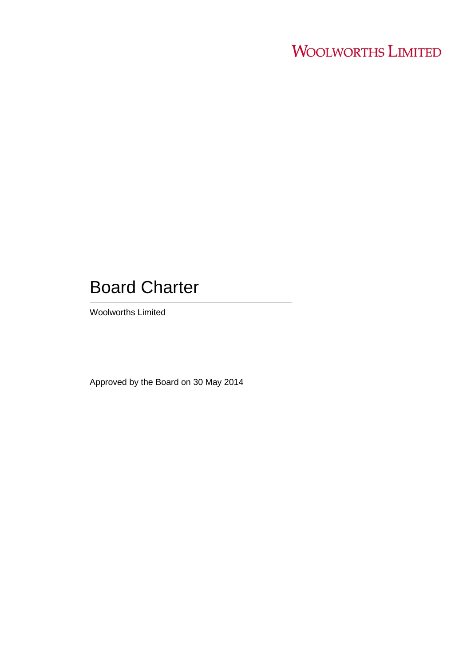# **WOOLWORTHS LIMITED**

## Board Charter

Woolworths Limited

Approved by the Board on 30 May 2014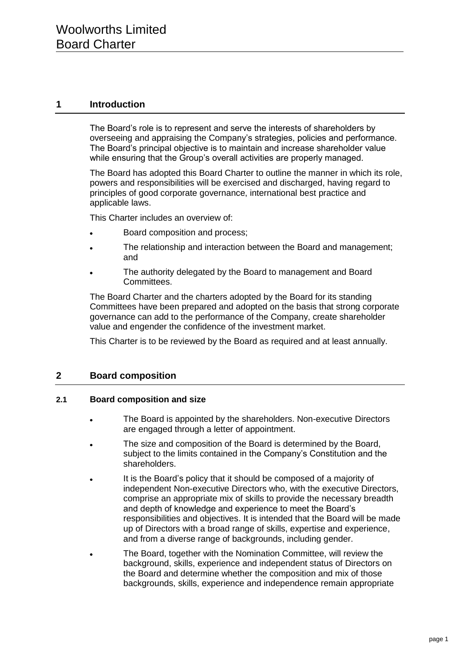## **1 Introduction**

The Board's role is to represent and serve the interests of shareholders by overseeing and appraising the Company's strategies, policies and performance. The Board's principal objective is to maintain and increase shareholder value while ensuring that the Group's overall activities are properly managed.

The Board has adopted this Board Charter to outline the manner in which its role, powers and responsibilities will be exercised and discharged, having regard to principles of good corporate governance, international best practice and applicable laws.

This Charter includes an overview of:

- Board composition and process;
- The relationship and interaction between the Board and management;  $\bullet$ and
- The authority delegated by the Board to management and Board Committees.

The Board Charter and the charters adopted by the Board for its standing Committees have been prepared and adopted on the basis that strong corporate governance can add to the performance of the Company, create shareholder value and engender the confidence of the investment market.

This Charter is to be reviewed by the Board as required and at least annually.

## **2 Board composition**

#### **2.1 Board composition and size**

- The Board is appointed by the shareholders. Non-executive Directors are engaged through a letter of appointment.
- The size and composition of the Board is determined by the Board, subject to the limits contained in the Company's Constitution and the shareholders.
- It is the Board's policy that it should be composed of a majority of independent Non-executive Directors who, with the executive Directors, comprise an appropriate mix of skills to provide the necessary breadth and depth of knowledge and experience to meet the Board's responsibilities and objectives. It is intended that the Board will be made up of Directors with a broad range of skills, expertise and experience, and from a diverse range of backgrounds, including gender.
- The Board, together with the Nomination Committee, will review the background, skills, experience and independent status of Directors on the Board and determine whether the composition and mix of those backgrounds, skills, experience and independence remain appropriate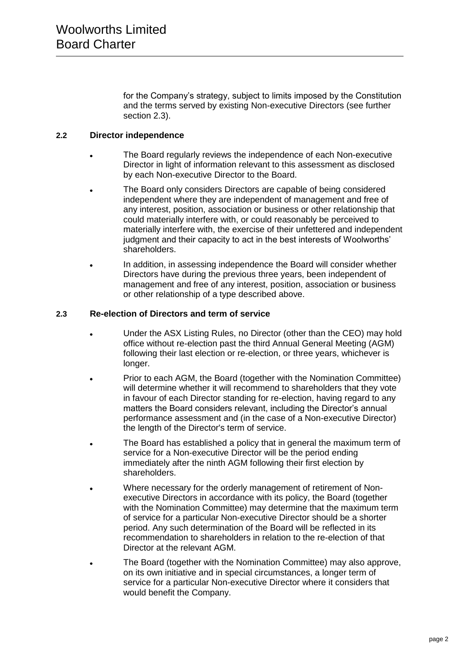for the Company's strategy, subject to limits imposed by the Constitution and the terms served by existing Non-executive Directors (see further section 2.3).

#### **2.2 Director independence**

- The Board regularly reviews the independence of each Non-executive Director in light of information relevant to this assessment as disclosed by each Non-executive Director to the Board.
- The Board only considers Directors are capable of being considered independent where they are independent of management and free of any interest, position, association or business or other relationship that could materially interfere with, or could reasonably be perceived to materially interfere with, the exercise of their unfettered and independent judgment and their capacity to act in the best interests of Woolworths' shareholders.
- In addition, in assessing independence the Board will consider whether Directors have during the previous three years, been independent of management and free of any interest, position, association or business or other relationship of a type described above.

#### **2.3 Re-election of Directors and term of service**

- Under the ASX Listing Rules, no Director (other than the CEO) may hold office without re-election past the third Annual General Meeting (AGM) following their last election or re-election, or three years, whichever is longer.
- Prior to each AGM, the Board (together with the Nomination Committee) will determine whether it will recommend to shareholders that they vote in favour of each Director standing for re-election, having regard to any matters the Board considers relevant, including the Director's annual performance assessment and (in the case of a Non-executive Director) the length of the Director's term of service.
- The Board has established a policy that in general the maximum term of service for a Non-executive Director will be the period ending immediately after the ninth AGM following their first election by shareholders.
- Where necessary for the orderly management of retirement of Nonexecutive Directors in accordance with its policy, the Board (together with the Nomination Committee) may determine that the maximum term of service for a particular Non-executive Director should be a shorter period. Any such determination of the Board will be reflected in its recommendation to shareholders in relation to the re-election of that Director at the relevant AGM.
- The Board (together with the Nomination Committee) may also approve, on its own initiative and in special circumstances, a longer term of service for a particular Non-executive Director where it considers that would benefit the Company.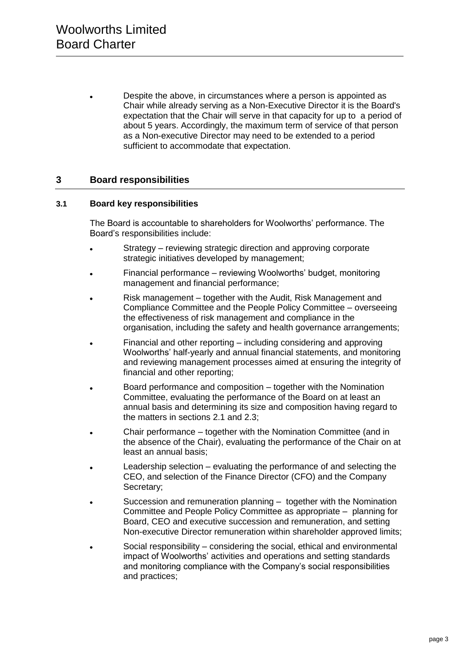Despite the above, in circumstances where a person is appointed as Chair while already serving as a Non-Executive Director it is the Board's expectation that the Chair will serve in that capacity for up to a period of about 5 years. Accordingly, the maximum term of service of that person as a Non-executive Director may need to be extended to a period sufficient to accommodate that expectation.

## **3 Board responsibilities**

#### **3.1 Board key responsibilities**

The Board is accountable to shareholders for Woolworths' performance. The Board's responsibilities include:

- Strategy reviewing strategic direction and approving corporate strategic initiatives developed by management:
- Financial performance reviewing Woolworths' budget, monitoring management and financial performance;
- Risk management together with the Audit, Risk Management and Compliance Committee and the People Policy Committee – overseeing the effectiveness of risk management and compliance in the organisation, including the safety and health governance arrangements;
- Financial and other reporting including considering and approving Woolworths' half-yearly and annual financial statements, and monitoring and reviewing management processes aimed at ensuring the integrity of financial and other reporting;
- Board performance and composition together with the Nomination Committee, evaluating the performance of the Board on at least an annual basis and determining its size and composition having regard to the matters in sections 2.1 and 2.3;
- Chair performance together with the Nomination Committee (and in the absence of the Chair), evaluating the performance of the Chair on at least an annual basis;
- Leadership selection evaluating the performance of and selecting the  $\bullet$ CEO, and selection of the Finance Director (CFO) and the Company Secretary;
- Succession and remuneration planning together with the Nomination  $\bullet$ Committee and People Policy Committee as appropriate – planning for Board, CEO and executive succession and remuneration, and setting Non-executive Director remuneration within shareholder approved limits;
- Social responsibility considering the social, ethical and environmental impact of Woolworths' activities and operations and setting standards and monitoring compliance with the Company's social responsibilities and practices;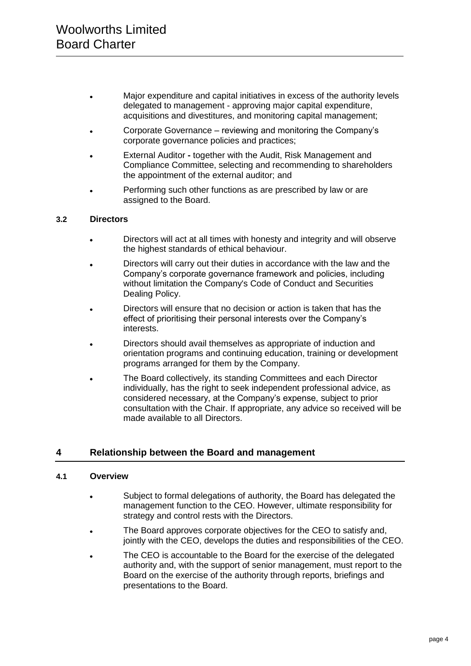- Major expenditure and capital initiatives in excess of the authority levels delegated to management - approving major capital expenditure, acquisitions and divestitures, and monitoring capital management;
- Corporate Governance reviewing and monitoring the Company's corporate governance policies and practices;
- External Auditor **-** together with the Audit, Risk Management and  $\bullet$ Compliance Committee, selecting and recommending to shareholders the appointment of the external auditor; and
- Performing such other functions as are prescribed by law or are assigned to the Board.

#### **3.2 Directors**

- Directors will act at all times with honesty and integrity and will observe the highest standards of ethical behaviour.
- Directors will carry out their duties in accordance with the law and the  $\bullet$ Company's corporate governance framework and policies, including without limitation the Company's Code of Conduct and Securities Dealing Policy.
- Directors will ensure that no decision or action is taken that has the effect of prioritising their personal interests over the Company's interests.
- Directors should avail themselves as appropriate of induction and orientation programs and continuing education, training or development programs arranged for them by the Company.
- The Board collectively, its standing Committees and each Director individually, has the right to seek independent professional advice, as considered necessary, at the Company's expense, subject to prior consultation with the Chair. If appropriate, any advice so received will be made available to all Directors.

## **4 Relationship between the Board and management**

#### **4.1 Overview**

- Subject to formal delegations of authority, the Board has delegated the management function to the CEO. However, ultimate responsibility for strategy and control rests with the Directors.
- The Board approves corporate objectives for the CEO to satisfy and, jointly with the CEO, develops the duties and responsibilities of the CEO.
- The CEO is accountable to the Board for the exercise of the delegated authority and, with the support of senior management, must report to the Board on the exercise of the authority through reports, briefings and presentations to the Board.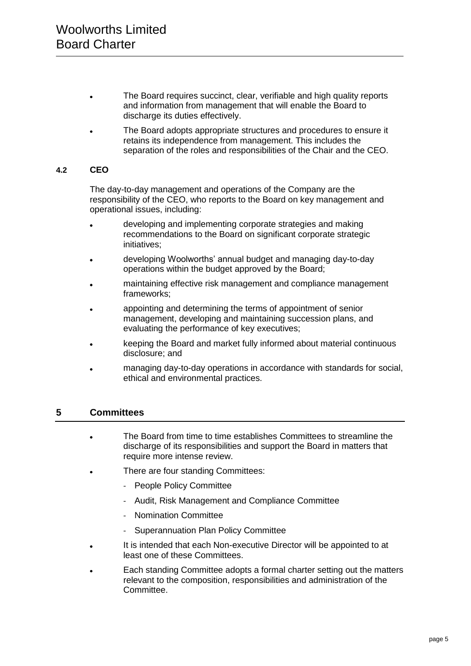- The Board requires succinct, clear, verifiable and high quality reports and information from management that will enable the Board to discharge its duties effectively.
- The Board adopts appropriate structures and procedures to ensure it retains its independence from management. This includes the separation of the roles and responsibilities of the Chair and the CEO.

## **4.2 CEO**

The day-to-day management and operations of the Company are the responsibility of the CEO, who reports to the Board on key management and operational issues, including:

- developing and implementing corporate strategies and making recommendations to the Board on significant corporate strategic initiatives;
- developing Woolworths' annual budget and managing day-to-day operations within the budget approved by the Board;
- maintaining effective risk management and compliance management frameworks;
- appointing and determining the terms of appointment of senior management, developing and maintaining succession plans, and evaluating the performance of key executives;
- keeping the Board and market fully informed about material continuous disclosure; and
- managing day-to-day operations in accordance with standards for social, ethical and environmental practices.

## **5 Committees**

- The Board from time to time establishes Committees to streamline the  $\ddot{\phantom{a}}$ discharge of its responsibilities and support the Board in matters that require more intense review.
- There are four standing Committees:
	- People Policy Committee
	- Audit, Risk Management and Compliance Committee
	- Nomination Committee
	- Superannuation Plan Policy Committee
- It is intended that each Non-executive Director will be appointed to at least one of these Committees.
- Each standing Committee adopts a formal charter setting out the matters relevant to the composition, responsibilities and administration of the Committee.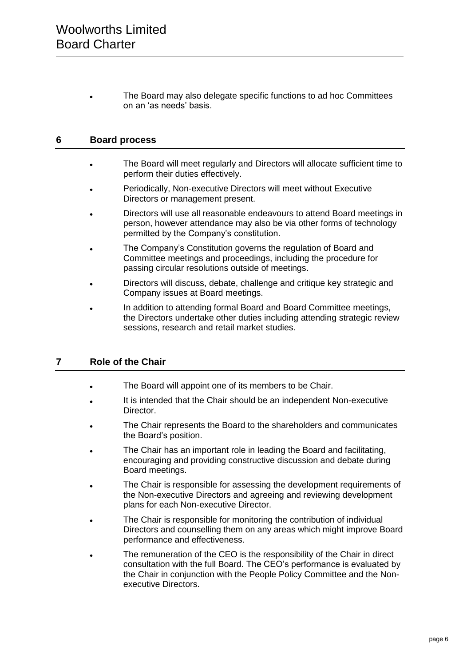The Board may also delegate specific functions to ad hoc Committees on an 'as needs' basis.

## **6 Board process**

- The Board will meet regularly and Directors will allocate sufficient time to  $\bullet$ perform their duties effectively.
- Periodically, Non-executive Directors will meet without Executive Directors or management present.
- Directors will use all reasonable endeavours to attend Board meetings in  $\bullet$ person, however attendance may also be via other forms of technology permitted by the Company's constitution.
- The Company's Constitution governs the regulation of Board and  $\bullet$ Committee meetings and proceedings, including the procedure for passing circular resolutions outside of meetings.
- Directors will discuss, debate, challenge and critique key strategic and Company issues at Board meetings.
- In addition to attending formal Board and Board Committee meetings, the Directors undertake other duties including attending strategic review sessions, research and retail market studies.

## **7 Role of the Chair**

- The Board will appoint one of its members to be Chair.
- It is intended that the Chair should be an independent Non-executive Director.
- The Chair represents the Board to the shareholders and communicates the Board's position.
- The Chair has an important role in leading the Board and facilitating, encouraging and providing constructive discussion and debate during Board meetings.
- The Chair is responsible for assessing the development requirements of the Non-executive Directors and agreeing and reviewing development plans for each Non-executive Director.
- The Chair is responsible for monitoring the contribution of individual Directors and counselling them on any areas which might improve Board performance and effectiveness.
- The remuneration of the CEO is the responsibility of the Chair in direct  $\bullet$ consultation with the full Board. The CEO's performance is evaluated by the Chair in conjunction with the People Policy Committee and the Nonexecutive Directors.